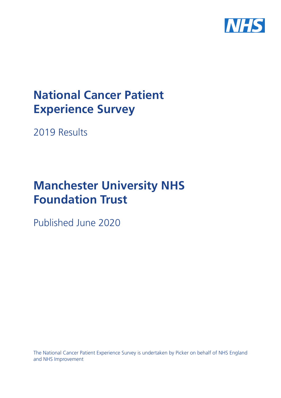

# **National Cancer Patient Experience Survey**

2019 Results

# **Manchester University NHS Foundation Trust**

Published June 2020

The National Cancer Patient Experience Survey is undertaken by Picker on behalf of NHS England and NHS Improvement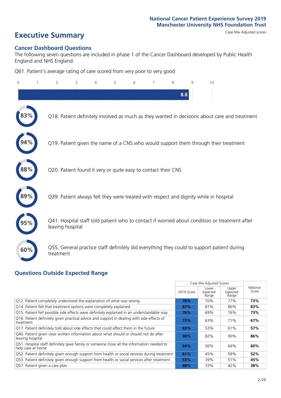# **Executive Summary** Case Mix Adjusted scores

#### **Cancer Dashboard Questions**

The following seven questions are included in phase 1 of the Cancer Dashboard developed by Public Health England and NHS England:

Q61. Patient's average rating of care scored from very poor to very good

| $\Omega$ | $\overline{2}$   | 3                                                             | $\overline{4}$ | 5 | 6 | 7 | 8   | 9 | 10                                                                                            |
|----------|------------------|---------------------------------------------------------------|----------------|---|---|---|-----|---|-----------------------------------------------------------------------------------------------|
|          |                  |                                                               |                |   |   |   | 8.8 |   |                                                                                               |
|          |                  |                                                               |                |   |   |   |     |   | Q18. Patient definitely involved as much as they wanted in decisions about care and treatment |
|          |                  |                                                               |                |   |   |   |     |   | Q19. Patient given the name of a CNS who would support them through their treatment           |
| 88%      |                  | Q20. Patient found it very or quite easy to contact their CNS |                |   |   |   |     |   |                                                                                               |
|          |                  |                                                               |                |   |   |   |     |   | Q39. Patient always felt they were treated with respect and dignity while in hospital         |
|          | leaving hospital |                                                               |                |   |   |   |     |   | Q41. Hospital staff told patient who to contact if worried about condition or treatment after |
| 60%      | treatment        |                                                               |                |   |   |   |     |   | Q55. General practice staff definitely did everything they could to support patient during    |

### **Questions Outside Expected Range**

|                                                                                                                |            | Case Mix Adjusted Scores   |                            |                   |
|----------------------------------------------------------------------------------------------------------------|------------|----------------------------|----------------------------|-------------------|
|                                                                                                                | 2019 Score | Lower<br>Expected<br>Range | Upper<br>Expected<br>Range | National<br>Score |
| Q12. Patient completely understood the explanation of what was wrong                                           | 78%        | 70%                        | 77%                        | 73%               |
| Q14. Patient felt that treatment options were completely explained                                             | 87%        | 81%                        | 86%                        | 83%               |
| Q15. Patient felt possible side effects were definitely explained in an understandable way                     | 76%        | 69%                        | 76%                        | 73%               |
| Q16. Patient definitely given practical advice and support in dealing with side effects of<br>treatment        | 73%        | 63%                        | 71%                        | 67%               |
| Q17. Patient definitely told about side effects that could affect them in the future                           | 63%        | 53%                        | 61%                        | 57%               |
| Q40. Patient given clear written information about what should or should not do after<br>leaving hospital      | 90%        | 82%                        | 90%                        | 86%               |
| Q51. Hospital staff definitely gave family or someone close all the information needed to<br>help care at home | 64%        | 56%                        | 64%                        | 60%               |
| Q52. Patient definitely given enough support from health or social services during treatment                   | 61%        | 45%                        | 59%                        | 52%               |
| Q53. Patient definitely given enough support from health or social services after treatment                    | 53%        | 39%                        | 51%                        | 45%               |
| Q57. Patient given a care plan                                                                                 | 48%        | 33%                        | 42%                        | 38%               |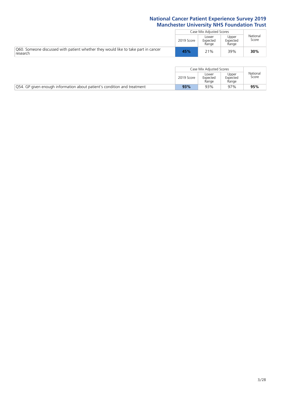|                                                                                                |            | Case Mix Adjusted Scores                                 |                   |     |
|------------------------------------------------------------------------------------------------|------------|----------------------------------------------------------|-------------------|-----|
|                                                                                                | 2019 Score | Upper<br>Lower<br>Expected<br>Expected<br>Range<br>Range | National<br>Score |     |
| O60. Someone discussed with patient whether they would like to take part in cancer<br>research | 45%        | 21%                                                      | 39%               | 30% |

|                                                                                 |            | Case Mix Adiusted Scores   |                            |                   |
|---------------------------------------------------------------------------------|------------|----------------------------|----------------------------|-------------------|
|                                                                                 | 2019 Score | Lower<br>Expected<br>Range | Upper<br>Expected<br>Range | National<br>Score |
| <b>Q54. GP</b> given enough information about patient's condition and treatment | 93%        | 93%                        | 97%                        | 95%               |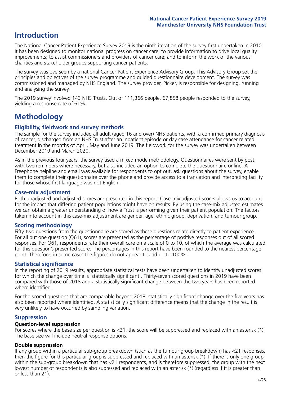# **Introduction**

The National Cancer Patient Experience Survey 2019 is the ninth iteration of the survey first undertaken in 2010. It has been designed to monitor national progress on cancer care; to provide information to drive local quality improvements; to assist commissioners and providers of cancer care; and to inform the work of the various charities and stakeholder groups supporting cancer patients.

The survey was overseen by a national Cancer Patient Experience Advisory Group. This Advisory Group set the principles and objectives of the survey programme and guided questionnaire development. The survey was commissioned and managed by NHS England. The survey provider, Picker, is responsible for designing, running and analysing the survey.

The 2019 survey involved 143 NHS Trusts. Out of 111,366 people, 67,858 people responded to the survey, yielding a response rate of 61%.

# **Methodology**

#### **Eligibility, eldwork and survey methods**

The sample for the survey included all adult (aged 16 and over) NHS patients, with a confirmed primary diagnosis of cancer, discharged from an NHS Trust after an inpatient episode or day case attendance for cancer related treatment in the months of April, May and June 2019. The fieldwork for the survey was undertaken between December 2019 and March 2020.

As in the previous four years, the survey used a mixed mode methodology. Questionnaires were sent by post, with two reminders where necessary, but also included an option to complete the questionnaire online. A Freephone helpline and email was available for respondents to opt out, ask questions about the survey, enable them to complete their questionnaire over the phone and provide access to a translation and interpreting facility for those whose first language was not English.

#### **Case-mix adjustment**

Both unadjusted and adjusted scores are presented in this report. Case-mix adjusted scores allows us to account for the impact that differing patient populations might have on results. By using the case-mix adjusted estimates we can obtain a greater understanding of how a Trust is performing given their patient population. The factors taken into account in this case-mix adjustment are gender, age, ethnic group, deprivation, and tumour group.

#### **Scoring methodology**

Fifty-two questions from the questionnaire are scored as these questions relate directly to patient experience. For all but one question (Q61), scores are presented as the percentage of positive responses out of all scored responses. For Q61, respondents rate their overall care on a scale of 0 to 10, of which the average was calculated for this question's presented score. The percentages in this report have been rounded to the nearest percentage point. Therefore, in some cases the figures do not appear to add up to 100%.

#### **Statistical significance**

In the reporting of 2019 results, appropriate statistical tests have been undertaken to identify unadjusted scores for which the change over time is 'statistically significant'. Thirty-seven scored questions in 2019 have been compared with those of 2018 and a statistically significant change between the two years has been reported where identified.

For the scored questions that are comparable beyond 2018, statistically significant change over the five years has also been reported where identified. A statistically significant difference means that the change in the result is very unlikely to have occurred by sampling variation.

#### **Suppression**

#### **Question-level suppression**

For scores where the base size per question is  $<$ 21, the score will be suppressed and replaced with an asterisk (\*). The base size will include neutral response options.

#### **Double suppression**

If any group within a particular sub-group breakdown (such as the tumour group breakdown) has <21 responses, then the figure for this particular group is suppressed and replaced with an asterisk (\*). If there is only one group within the sub-group breakdown that has <21 respondents, and is therefore suppressed, the group with the next lowest number of respondents is also supressed and replaced with an asterisk (\*) (regardless if it is greater than or less than 21).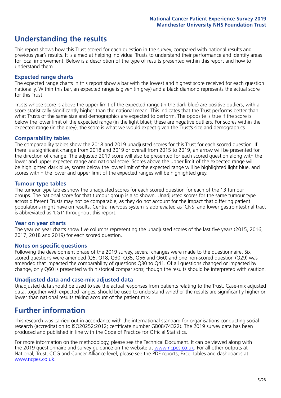# **Understanding the results**

This report shows how this Trust scored for each question in the survey, compared with national results and previous year's results. It is aimed at helping individual Trusts to understand their performance and identify areas for local improvement. Below is a description of the type of results presented within this report and how to understand them.

#### **Expected range charts**

The expected range charts in this report show a bar with the lowest and highest score received for each question nationally. Within this bar, an expected range is given (in grey) and a black diamond represents the actual score for this Trust.

Trusts whose score is above the upper limit of the expected range (in the dark blue) are positive outliers, with a score statistically significantly higher than the national mean. This indicates that the Trust performs better than what Trusts of the same size and demographics are expected to perform. The opposite is true if the score is below the lower limit of the expected range (in the light blue); these are negative outliers. For scores within the expected range (in the grey), the score is what we would expect given the Trust's size and demographics.

#### **Comparability tables**

The comparability tables show the 2018 and 2019 unadjusted scores for this Trust for each scored question. If there is a significant change from 2018 and 2019 or overall from 2015 to 2019, an arrow will be presented for the direction of change. The adjusted 2019 score will also be presented for each scored question along with the lower and upper expected range and national score. Scores above the upper limit of the expected range will be highlighted dark blue, scores below the lower limit of the expected range will be highlighted light blue, and scores within the lower and upper limit of the expected ranges will be highlighted grey.

#### **Tumour type tables**

The tumour type tables show the unadjusted scores for each scored question for each of the 13 tumour groups. The national score for that tumour group is also shown. Unadjusted scores for the same tumour type across different Trusts may not be comparable, as they do not account for the impact that differing patient populations might have on results. Central nervous system is abbreviated as 'CNS' and lower gastrointestinal tract is abbreviated as 'LGT' throughout this report.

#### **Year on year charts**

The year on year charts show five columns representing the unadjusted scores of the last five years (2015, 2016, 2017, 2018 and 2019) for each scored question.

#### **Notes on specific questions**

Following the development phase of the 2019 survey, several changes were made to the questionnaire. Six scored questions were amended (Q5, Q18, Q30, Q35, Q56 and Q60) and one non-scored question (Q29) was amended that impacted the comparability of questions Q30 to Q41. Of all questions changed or impacted by change, only Q60 is presented with historical comparisons; though the results should be interpreted with caution.

#### **Unadjusted data and case-mix adjusted data**

Unadjusted data should be used to see the actual responses from patients relating to the Trust. Case-mix adjusted data, together with expected ranges, should be used to understand whether the results are significantly higher or lower than national results taking account of the patient mix.

### **Further information**

This research was carried out in accordance with the international standard for organisations conducting social research (accreditation to ISO20252:2012; certificate number GB08/74322). The 2019 survey data has been produced and published in line with the Code of Practice for Official Statistics.

For more information on the methodology, please see the Technical Document. It can be viewed along with the 2019 questionnaire and survey quidance on the website at [www.ncpes.co.uk](https://www.ncpes.co.uk/supporting-documents). For all other outputs at National, Trust, CCG and Cancer Alliance level, please see the PDF reports, Excel tables and dashboards at [www.ncpes.co.uk.](https://www.ncpes.co.uk/current-results)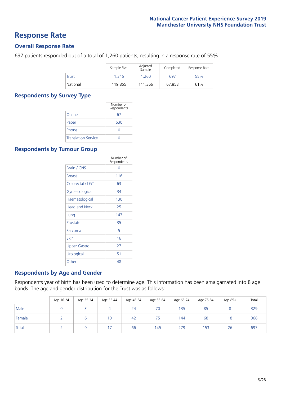### **Response Rate**

#### **Overall Response Rate**

697 patients responded out of a total of 1,260 patients, resulting in a response rate of 55%.

|          | Sample Size | Adjusted<br>Sample | Completed | Response Rate |
|----------|-------------|--------------------|-----------|---------------|
| Trust    | 1.345       | 1.260              | 697       | 55%           |
| National | 119.855     | 111.366            | 67.858    | 61%           |

#### **Respondents by Survey Type**

|                            | Number of<br>Respondents |
|----------------------------|--------------------------|
| Online                     | 67                       |
| Paper                      | 630                      |
| Phone                      |                          |
| <b>Translation Service</b> |                          |

#### **Respondents by Tumour Group**

|                      | Number of<br>Respondents |
|----------------------|--------------------------|
| <b>Brain / CNS</b>   | ∩                        |
| <b>Breast</b>        | 116                      |
| Colorectal / LGT     | 63                       |
| Gynaecological       | 34                       |
| Haematological       | 130                      |
| <b>Head and Neck</b> | 25                       |
| Lung                 | 147                      |
| Prostate             | 35                       |
| Sarcoma              | 5                        |
| Skin                 | 16                       |
| Upper Gastro         | 27                       |
| Urological           | 51                       |
| Other                | 48                       |

#### **Respondents by Age and Gender**

Respondents year of birth has been used to determine age. This information has been amalgamated into 8 age bands. The age and gender distribution for the Trust was as follows:

|        | Age 16-24 | Age 25-34 | Age 35-44 | Age 45-54 | Age 55-64 | Age 65-74 | Age 75-84 | Age 85+ | Total |
|--------|-----------|-----------|-----------|-----------|-----------|-----------|-----------|---------|-------|
| Male   |           |           |           | 24        | 70        | 135       | 85        |         | 329   |
| Female |           | ь         | 13        | 42        | 75        | 144       | 68        | 18      | 368   |
| Total  |           |           |           | 66        | 145       | 279       | 153       | 26      | 697   |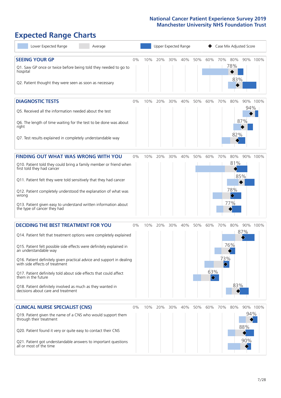# **Expected Range Charts**

| Lower Expected Range<br>Average                                                                         |    |     |     |     | Upper Expected Range |     |                         |     |            | Case Mix Adjusted Score |          |
|---------------------------------------------------------------------------------------------------------|----|-----|-----|-----|----------------------|-----|-------------------------|-----|------------|-------------------------|----------|
| <b>SEEING YOUR GP</b>                                                                                   | 0% | 10% | 20% | 30% | 40%                  | 50% | 60%                     | 70% | 80%        |                         | 90% 100% |
| Q1. Saw GP once or twice before being told they needed to go to<br>hospital                             |    |     |     |     |                      |     |                         |     | 78%<br>83% |                         |          |
| Q2. Patient thought they were seen as soon as necessary                                                 |    |     |     |     |                      |     |                         |     |            |                         |          |
| <b>DIAGNOSTIC TESTS</b>                                                                                 | 0% | 10% | 20% | 30% | 40%                  | 50% | 60%                     | 70% | 80%        |                         | 90% 100% |
| Q5. Received all the information needed about the test                                                  |    |     |     |     |                      |     |                         |     |            | 94%                     |          |
| Q6. The length of time waiting for the test to be done was about<br>right                               |    |     |     |     |                      |     |                         |     | 82%        | 87%                     |          |
| Q7. Test results explained in completely understandable way                                             |    |     |     |     |                      |     |                         |     |            |                         |          |
| <b>FINDING OUT WHAT WAS WRONG WITH YOU</b>                                                              | 0% | 10% | 20% | 30% | 40%                  | 50% | 60%                     | 70% | 80%        |                         | 90% 100% |
| Q10. Patient told they could bring a family member or friend when<br>first told they had cancer         |    |     |     |     |                      |     |                         |     | 81%        |                         |          |
| Q11. Patient felt they were told sensitively that they had cancer                                       |    |     |     |     |                      |     |                         |     |            | 85%                     |          |
| Q12. Patient completely understood the explanation of what was<br>wrong                                 |    |     |     |     |                      |     |                         |     | 78%        |                         |          |
| Q13. Patient given easy to understand written information about<br>the type of cancer they had          |    |     |     |     |                      |     |                         |     | 77%        |                         |          |
| <b>DECIDING THE BEST TREATMENT FOR YOU</b>                                                              | 0% | 10% | 20% | 30% | 40%                  | 50% | 60%                     | 70% | 80%        |                         | 90% 100% |
| Q14. Patient felt that treatment options were completely explained                                      |    |     |     |     |                      |     |                         |     |            | 87%                     |          |
| Q15. Patient felt possible side effects were definitely explained in<br>an understandable way           |    |     |     |     |                      |     |                         |     | 76%        |                         |          |
| Q16. Patient definitely given practical advice and support in dealing<br>with side effects of treatment |    |     |     |     |                      |     |                         | 73% |            |                         |          |
| Q17. Patient definitely told about side effects that could affect<br>them in the future                 |    |     |     |     |                      |     | 63%<br>$ \diamondsuit $ |     |            |                         |          |
| Q18. Patient definitely involved as much as they wanted in<br>decisions about care and treatment        |    |     |     |     |                      |     |                         |     | 83%        |                         |          |
| <b>CLINICAL NURSE SPECIALIST (CNS)</b>                                                                  | 0% | 10% | 20% | 30% | 40%                  | 50% | 60%                     | 70% | 80%        |                         | 90% 100% |
| Q19. Patient given the name of a CNS who would support them<br>through their treatment                  |    |     |     |     |                      |     |                         |     |            | 94%                     |          |
| Q20. Patient found it very or quite easy to contact their CNS                                           |    |     |     |     |                      |     |                         |     |            | 88%                     |          |
| Q21. Patient got understandable answers to important questions<br>all or most of the time               |    |     |     |     |                      |     |                         |     |            | 90%                     |          |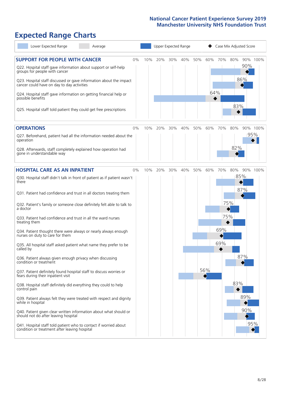# **Expected Range Charts**

| Lower Expected Range<br>Average                                                                                                                                                                                 |       |     |     | Upper Expected Range |     |     |     | Case Mix Adjusted Score |     |            |          |  |
|-----------------------------------------------------------------------------------------------------------------------------------------------------------------------------------------------------------------|-------|-----|-----|----------------------|-----|-----|-----|-------------------------|-----|------------|----------|--|
| <b>SUPPORT FOR PEOPLE WITH CANCER</b><br>Q22. Hospital staff gave information about support or self-help<br>groups for people with cancer<br>Q23. Hospital staff discussed or gave information about the impact | $0\%$ | 10% | 20% | 30%                  | 40% | 50% | 60% | 70%                     | 80% | 90%<br>86% | 90% 100% |  |
| cancer could have on day to day activities<br>Q24. Hospital staff gave information on getting financial help or<br>possible benefits<br>Q25. Hospital staff told patient they could get free prescriptions      |       |     |     |                      |     |     | 64% |                         | 83% |            |          |  |
| <b>OPERATIONS</b>                                                                                                                                                                                               | 0%    | 10% | 20% | 30%                  | 40% | 50% | 60% | 70%                     | 80% |            | 90% 100% |  |
| Q27. Beforehand, patient had all the information needed about the<br>operation                                                                                                                                  |       |     |     |                      |     |     |     |                         | 82% |            | 95%      |  |
| Q28. Afterwards, staff completely explained how operation had<br>gone in understandable way                                                                                                                     |       |     |     |                      |     |     |     |                         |     |            |          |  |
| <b>HOSPITAL CARE AS AN INPATIENT</b>                                                                                                                                                                            | 0%    | 10% | 20% | 30%                  | 40% | 50% | 60% | 70%                     | 80% |            | 90% 100% |  |
| Q30. Hospital staff didn't talk in front of patient as if patient wasn't<br>there                                                                                                                               |       |     |     |                      |     |     |     |                         |     | 85%<br>87% |          |  |
| Q31. Patient had confidence and trust in all doctors treating them                                                                                                                                              |       |     |     |                      |     |     |     |                         |     |            |          |  |
| Q32. Patient's family or someone close definitely felt able to talk to<br>a doctor                                                                                                                              |       |     |     |                      |     |     |     |                         | 75% |            |          |  |
| Q33. Patient had confidence and trust in all the ward nurses<br>treating them                                                                                                                                   |       |     |     |                      |     |     |     | 75%                     |     |            |          |  |
| Q34. Patient thought there were always or nearly always enough<br>nurses on duty to care for them                                                                                                               |       |     |     |                      |     |     |     | 69%                     |     |            |          |  |
| Q35. All hospital staff asked patient what name they prefer to be<br>called by                                                                                                                                  |       |     |     |                      |     |     |     | 69%                     |     |            |          |  |
| Q36. Patient always given enough privacy when discussing<br>condition or treatment                                                                                                                              |       |     |     |                      |     |     |     |                         |     | 87%        |          |  |
| Q37. Patient definitely found hospital staff to discuss worries or<br>fears during their inpatient visit                                                                                                        |       |     |     |                      |     |     | 56% |                         |     |            |          |  |
| Q38. Hospital staff definitely did everything they could to help<br>control pain                                                                                                                                |       |     |     |                      |     |     |     |                         | 83% |            |          |  |
| Q39. Patient always felt they were treated with respect and dignity<br>while in hospital                                                                                                                        |       |     |     |                      |     |     |     |                         |     | 89%        |          |  |
| Q40. Patient given clear written information about what should or<br>should not do after leaving hospital                                                                                                       |       |     |     |                      |     |     |     |                         |     | 90%        |          |  |
| Q41. Hospital staff told patient who to contact if worried about<br>condition or treatment after leaving hospital                                                                                               |       |     |     |                      |     |     |     |                         |     |            | 95%      |  |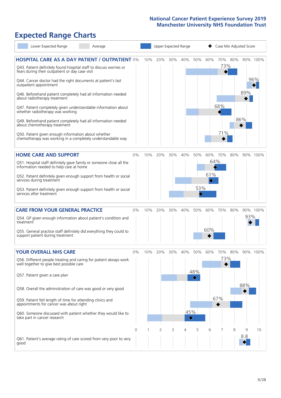# **Expected Range Charts**

| Lower Expected Range<br>Average                                                                                                                                                                                                                                                                                                                                                                                                                                                                                                                  |       |     |     |     | Upper Expected Range                       |                 |                 | Case Mix Adjusted Score |     |            |                 |
|--------------------------------------------------------------------------------------------------------------------------------------------------------------------------------------------------------------------------------------------------------------------------------------------------------------------------------------------------------------------------------------------------------------------------------------------------------------------------------------------------------------------------------------------------|-------|-----|-----|-----|--------------------------------------------|-----------------|-----------------|-------------------------|-----|------------|-----------------|
| <b>HOSPITAL CARE AS A DAY PATIENT / OUTPATIENT 0%</b><br>Q43. Patient definitely found hospital staff to discuss worries or<br>fears during their outpatient or day case visit<br>Q44. Cancer doctor had the right documents at patient's last<br>outpatient appointment<br>Q46. Beforehand patient completely had all information needed<br>about radiotherapy treatment<br>Q47. Patient completely given understandable information about<br>whether radiotherapy was working<br>Q49. Beforehand patient completely had all information needed |       | 10% | 20% | 30% | 40%                                        | 50%             | 60%             | 70% 80%<br>73%  <br>68% |     | 89%<br>86% | 90% 100%<br>96% |
| about chemotherapy treatment<br>Q50. Patient given enough information about whether<br>chemotherapy was working in a completely understandable way                                                                                                                                                                                                                                                                                                                                                                                               |       |     |     |     |                                            |                 |                 | 71%                     |     |            |                 |
| <b>HOME CARE AND SUPPORT</b><br>Q51. Hospital staff definitely gave family or someone close all the<br>information needed to help care at home<br>Q52. Patient definitely given enough support from health or social<br>services during treatment<br>Q53. Patient definitely given enough support from health or social<br>services after treatment                                                                                                                                                                                              | 0%    | 10% | 20% | 30% | 40%                                        | 50%<br>53%      | 60%<br>61%<br>♦ | 70%<br>64%              | 80% |            | 90% 100%        |
| <b>CARE FROM YOUR GENERAL PRACTICE</b><br>Q54. GP given enough information about patient's condition and<br>treatment<br>Q55. General practice staff definitely did everything they could to<br>support patient during treatment                                                                                                                                                                                                                                                                                                                 | $0\%$ | 10% | 20% | 30% | 40%                                        | 50%             | 60%<br>60%      | 70%                     | 80% | 93%        | 90% 100%        |
| <b>YOUR OVERALL NHS CARE</b><br>Q56. Different people treating and caring for patient always work<br>well together to give best possible care<br>Q57. Patient given a care plan<br>Q58. Overall the administration of care was good or very good<br>Q59. Patient felt length of time for attending clinics and<br>appointments for cancer was about right<br>Q60. Someone discussed with patient whether they would like to<br>take part in cancer research                                                                                      | $0\%$ | 10% | 20% | 30% | 40%<br>45%<br>$\color{black}\blacklozenge$ | 50%<br>48%<br>♦ | 60%             | 70%<br>73%<br>67%       | 80% | 88%        | 90% 100%        |
| Q61. Patient's average rating of care scored from very poor to very<br>good                                                                                                                                                                                                                                                                                                                                                                                                                                                                      | 0     |     | 2   | 3   | 4                                          | 5               | 6               |                         | 8   | 9<br>8.8   | 10              |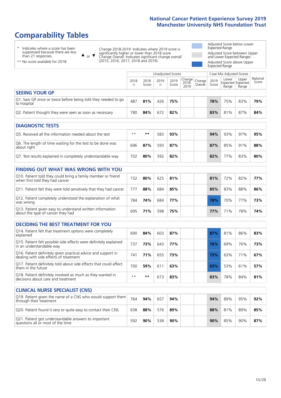# **Comparability Tables**

\* Indicates where a score has been suppressed because there are less than 21 responses.

\*\* No score available for 2018.

 $\triangle$  or  $\nabla$ 

Change 2018-2019: Indicates where 2019 score is significantly higher or lower than 2018 score Change Overall: Indicates significant change overall (2015, 2016, 2017, 2018 and 2019).

Adjusted Score below Lower Expected Range Adjusted Score between Upper and Lower Expected Ranges Adjusted Score above Upper Expected Range

|                                                                             |           |               |           | Unadjusted Scores | Case Mix Adjusted Scores                       |               |                |                                     |                   |
|-----------------------------------------------------------------------------|-----------|---------------|-----------|-------------------|------------------------------------------------|---------------|----------------|-------------------------------------|-------------------|
|                                                                             | 2018<br>n | 2018<br>Score | 2019<br>n | 2019<br>Score     | Change<br>2018- Change<br>2010 Overall<br>2019 | 2019<br>Score | Lower<br>Range | Upper<br>Expected Expected<br>Range | National<br>Score |
| <b>SEEING YOUR GP</b>                                                       |           |               |           |                   |                                                |               |                |                                     |                   |
| Q1. Saw GP once or twice before being told they needed to go<br>to hospital | 487       | 81%           | 426       | 75%               |                                                | 78%           | 75%            | 83%                                 | 79%               |
| Q2. Patient thought they were seen as soon as necessary                     | 780       | 84%           | 672       | 82%               |                                                | 83%           | 81%            | 87%                                 | 84%               |
| <b>DIAGNOSTIC TESTS</b>                                                     |           |               |           |                   |                                                |               |                |                                     |                   |

| -----------------                                                         |      |     |     |     |  |     |     |     |     |
|---------------------------------------------------------------------------|------|-----|-----|-----|--|-----|-----|-----|-----|
| Q5. Received all the information needed about the test                    | $**$ | **  | 583 | 93% |  | 94% | 93% | 97% | 95% |
| Q6. The length of time waiting for the test to be done was<br>about right | 696  | 87% | 593 | 87% |  | 87% | 85% | 91% | 88% |
| Q7. Test results explained in completely understandable way               | 702  | 80% | 592 | 82% |  | 82% | 77% | 83% | 80% |

### **FINDING OUT WHAT WAS WRONG WITH YOU**

| Q10. Patient told they could bring a family member or friend<br>when first told they had cancer | 732 | 80% | 625 | 81% | 81%        | 72%             | 82% | 77% |
|-------------------------------------------------------------------------------------------------|-----|-----|-----|-----|------------|-----------------|-----|-----|
| Q11. Patient felt they were told sensitively that they had cancer                               | 777 | 88% | 684 | 85% | 85%        | 83%             | 88% | 86% |
| Q12. Patient completely understood the explanation of what<br>was wrong                         | 784 | 74% | 684 | 77% | 78%        | 70%             | 77% | 73% |
| Q13. Patient given easy to understand written information<br>about the type of cancer they had  | 695 | 71% | 598 | 75% | <b>77%</b> | 71 <sup>%</sup> | 78% | 74% |

#### **DECIDING THE BEST TREATMENT FOR YOU**

| Q14. Patient felt that treatment options were completely<br>explained                                   | 690  | 84% | 603          | 87% | 87% | 81% | 86% | 83% |
|---------------------------------------------------------------------------------------------------------|------|-----|--------------|-----|-----|-----|-----|-----|
| Q15. Patient felt possible side effects were definitely explained<br>in an understandable way           | 737  | 73% | 643          | 77% | 76% | 69% | 76% | 73% |
| Q16. Patient definitely given practical advice and support in<br>dealing with side effects of treatment | 741  | 71% | 655          | 73% | 73% | 63% | 71% | 67% |
| Q17. Patient definitely told about side effects that could affect<br>them in the future                 | 700  | 59% | $61^{\circ}$ | 63% | 63% | 53% | 61% | 57% |
| Q18. Patient definitely involved as much as they wanted in<br>decisions about care and treatment        | $**$ | **  | 673          | 83% | 83% | 78% | 84% | 81% |

| <b>CLINICAL NURSE SPECIALIST (CNS)</b>                                                    |     |     |     |     |     |     |     |     |
|-------------------------------------------------------------------------------------------|-----|-----|-----|-----|-----|-----|-----|-----|
| Q19. Patient given the name of a CNS who would support them<br>through their treatment    | 764 | 94% | 657 | 94% | 94% | 89% | 95% | 92% |
| Q20. Patient found it very or quite easy to contact their CNS                             | 638 | 88% | 576 | 89% | 88% | 81% | 89% | 85% |
| Q21. Patient got understandable answers to important<br>questions all or most of the time | 592 | 90% | 538 | 90% | 90% | 85% | 90% | 87% |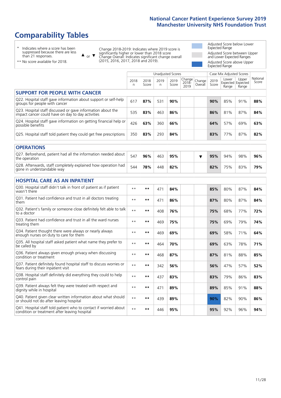# **Comparability Tables**

\* Indicates where a score has been suppressed because there are less than 21 responses.

\*\* No score available for 2018.

 $\triangle$  or  $\nabla$ 

Change 2018-2019: Indicates where 2019 score is significantly higher or lower than 2018 score Change Overall: Indicates significant change overall (2015, 2016, 2017, 2018 and 2019).

Adjusted Score below Lower Expected Range Adjusted Score between Upper and Lower Expected Ranges Adjusted Score above Upper Expected Range

|                                                                                                                   |              |               | <b>Unadjusted Scores</b> |               |                         |                   |               | Case Mix Adjusted Scores            |                |                   |
|-------------------------------------------------------------------------------------------------------------------|--------------|---------------|--------------------------|---------------|-------------------------|-------------------|---------------|-------------------------------------|----------------|-------------------|
|                                                                                                                   | 2018<br>n    | 2018<br>Score | 2019<br>n                | 2019<br>Score | Change<br>2018-<br>2019 | Change<br>Overall | 2019<br>Score | Lower<br>Expected Expected<br>Range | Upper<br>Range | National<br>Score |
| <b>SUPPORT FOR PEOPLE WITH CANCER</b>                                                                             |              |               |                          |               |                         |                   |               |                                     |                |                   |
| Q22. Hospital staff gave information about support or self-help<br>groups for people with cancer                  | 617          | 87%           | 531                      | 90%           |                         |                   | 90%           | 85%                                 | 91%            | 88%               |
| Q23. Hospital staff discussed or gave information about the<br>impact cancer could have on day to day activities  | 535          | 83%           | 463                      | 86%           |                         |                   | 86%           | 81%                                 | 87%            | 84%               |
| Q24. Hospital staff gave information on getting financial help or<br>possible benefits                            | 426          | 63%           | 360                      | 66%           |                         |                   | 64%           | 57%                                 | 69%            | 63%               |
| Q25. Hospital staff told patient they could get free prescriptions                                                | 350          | 83%           | 293                      | 84%           |                         |                   | 83%           | 77%                                 | 87%            | 82%               |
| <b>OPERATIONS</b>                                                                                                 |              |               |                          |               |                         |                   |               |                                     |                |                   |
| Q27. Beforehand, patient had all the information needed about<br>the operation                                    | 547          | 96%           | 463                      | 95%           |                         | ▼                 | 95%           | 94%                                 | 98%            | 96%               |
| Q28. Afterwards, staff completely explained how operation had<br>gone in understandable way                       | 544          | 78%           | 448                      | 82%           |                         |                   | 82%           | 75%                                 | 83%            | 79%               |
| <b>HOSPITAL CARE AS AN INPATIENT</b>                                                                              |              |               |                          |               |                         |                   |               |                                     |                |                   |
| Q30. Hospital staff didn't talk in front of patient as if patient<br>wasn't there                                 | $* *$        | $***$         | 471                      | 84%           |                         |                   | 85%           | 80%                                 | 87%            | 84%               |
| Q31. Patient had confidence and trust in all doctors treating<br>them                                             | $\star\star$ | $***$         | 471                      | 86%           |                         |                   | 87%           | 80%                                 | 87%            | 84%               |
| Q32. Patient's family or someone close definitely felt able to talk<br>to a doctor                                | $* *$        | $***$         | 408                      | 76%           |                         |                   | 75%           | 68%                                 | 77%            | 72%               |
| Q33. Patient had confidence and trust in all the ward nurses<br>treating them                                     | $\star\star$ | $***$         | 469                      | 75%           |                         |                   | 75%           | 69%                                 | 79%            | 74%               |
| Q34. Patient thought there were always or nearly always<br>enough nurses on duty to care for them                 | $* *$        | $***$         | 469                      | 69%           |                         |                   | 69%           | 58%                                 | 71%            | 64%               |
| Q35. All hospital staff asked patient what name they prefer to<br>be called by                                    | $**$         | $***$         | 464                      | 70%           |                         |                   | 69%           | 63%                                 | 78%            | 71%               |
| Q36. Patient always given enough privacy when discussing<br>condition or treatment                                | $* *$        | **            | 468                      | 87%           |                         |                   | 87%           | 81%                                 | 88%            | 85%               |
| Q37. Patient definitely found hospital staff to discuss worries or<br>fears during their inpatient visit          | $**$         | **            | 342                      | 56%           |                         |                   | 56%           | 47%                                 | 57%            | 52%               |
| Q38. Hospital staff definitely did everything they could to help<br>control pain                                  | $* *$        | $***$         | 437                      | 83%           |                         |                   | 83%           | 79%                                 | 86%            | 83%               |
| Q39. Patient always felt they were treated with respect and<br>dignity while in hospital                          | $\star\star$ | **            | 471                      | 89%           |                         |                   | 89%           | 85%                                 | 91%            | 88%               |
| Q40. Patient given clear written information about what should<br>or should not do after leaving hospital         | $**$         | $***$         | 439                      | 89%           |                         |                   | 90%           | 82%                                 | 90%            | 86%               |
| Q41. Hospital staff told patient who to contact if worried about<br>condition or treatment after leaving hospital | $**$         | **            | 446                      | 95%           |                         |                   | 95%           | 92%                                 | 96%            | 94%               |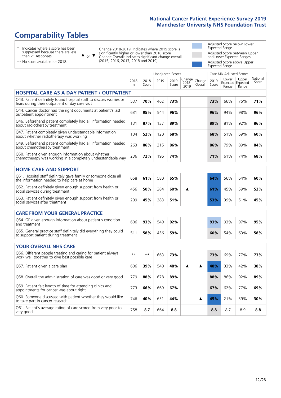# **Comparability Tables**

\* Indicates where a score has been suppressed because there are less than 21 responses.

 $\triangle$  or  $\nabla$ 

Change 2018-2019: Indicates where 2019 score is significantly higher or lower than 2018 score Change Overall: Indicates significant change overall (2015, 2016, 2017, 2018 and 2019).

Adjusted Score below Lower Expected Range Adjusted Score between Upper and Lower Expected Ranges Adjusted Score above Upper Expected Range

|                                                                                                                       |              |               | <b>Unadjusted Scores</b> |               |                         |                   |               | Case Mix Adjusted Scores |                                     |                   |
|-----------------------------------------------------------------------------------------------------------------------|--------------|---------------|--------------------------|---------------|-------------------------|-------------------|---------------|--------------------------|-------------------------------------|-------------------|
|                                                                                                                       | 2018<br>n.   | 2018<br>Score | 2019<br>n.               | 2019<br>Score | Change<br>2018-<br>2019 | Change<br>Overall | 2019<br>Score | Lower<br>Range           | Upper<br>Expected Expected<br>Range | National<br>Score |
| <b>HOSPITAL CARE AS A DAY PATIENT / OUTPATIENT</b>                                                                    |              |               |                          |               |                         |                   |               |                          |                                     |                   |
| Q43. Patient definitely found hospital staff to discuss worries or<br>fears during their outpatient or day case visit | 537          | 70%           | 462                      | 73%           |                         |                   | 73%           | 66%                      | 75%                                 | 71%               |
| Q44. Cancer doctor had the right documents at patient's last<br>outpatient appointment                                | 631          | 95%           | 544                      | 96%           |                         |                   | 96%           | 94%                      | 98%                                 | 96%               |
| Q46. Beforehand patient completely had all information needed<br>about radiotherapy treatment                         | 131          | 87%           | 137                      | 89%           |                         |                   | 89%           | 81%                      | 92%                                 | 86%               |
| Q47. Patient completely given understandable information<br>about whether radiotherapy was working                    | 104          | 52%           | 120                      | 68%           |                         |                   | 68%           | 51%                      | 69%                                 | 60%               |
| Q49. Beforehand patient completely had all information needed<br>about chemotherapy treatment                         | 263          | 86%           | 215                      | 86%           |                         |                   | 86%           | 79%                      | 89%                                 | 84%               |
| Q50. Patient given enough information about whether<br>chemotherapy was working in a completely understandable way    | 236          | 72%           | 196                      | 74%           |                         |                   | 71%           | 61%                      | 74%                                 | 68%               |
| <b>HOME CARE AND SUPPORT</b>                                                                                          |              |               |                          |               |                         |                   |               |                          |                                     |                   |
| Q51. Hospital staff definitely gave family or someone close all<br>the information needed to help care at home        | 658          | 61%           | 580                      | 65%           |                         |                   | 64%           | 56%                      | 64%                                 | 60%               |
| Q52. Patient definitely given enough support from health or<br>social services during treatment                       | 456          | 50%           | 384                      | 60%           | ▲                       |                   | 61%           | 45%                      | 59%                                 | 52%               |
| Q53. Patient definitely given enough support from health or<br>social services after treatment                        | 299          | 45%           | 283                      | 51%           |                         |                   | 53%           | 39%                      | 51%                                 | 45%               |
| <b>CARE FROM YOUR GENERAL PRACTICE</b>                                                                                |              |               |                          |               |                         |                   |               |                          |                                     |                   |
| Q54. GP given enough information about patient's condition<br>and treatment                                           | 606          | 93%           | 549                      | 92%           |                         |                   | 93%           | 93%                      | 97%                                 | 95%               |
| Q55. General practice staff definitely did everything they could<br>to support patient during treatment               | 511          | 58%           | 456                      | 59%           |                         |                   | 60%           | 54%                      | 63%                                 | 58%               |
| <b>YOUR OVERALL NHS CARE</b>                                                                                          |              |               |                          |               |                         |                   |               |                          |                                     |                   |
| Q56. Different people treating and caring for patient always<br>work well together to give best possible care         | $\star\star$ | **            | 663                      | 73%           |                         |                   | 73%           | 69%                      | 77%                                 | 73%               |
| Q57. Patient given a care plan                                                                                        | 606          | 39%           | 540                      | 48%           | ▲                       | ▲                 | 48%           | 33%                      | 42%                                 | 38%               |
| Q58. Overall the administration of care was good or very good                                                         | 779          | 88%           | 678                      | 89%           |                         |                   | 88%           | 86%                      | 92%                                 | 89%               |
| Q59. Patient felt length of time for attending clinics and<br>appointments for cancer was about right                 | 773          | 66%           | 669                      | 67%           |                         |                   | 67%           | 62%                      | 77%                                 | 69%               |
| Q60. Someone discussed with patient whether they would like<br>to take part in cancer research                        | 746          | 40%           | 631                      | 44%           |                         | ▲                 | 45%           | 21%                      | 39%                                 | 30%               |
| Q61. Patient's average rating of care scored from very poor to<br>very good                                           | 758          | 8.7           | 664                      | 8.8           |                         |                   | 8.8           | 8.7                      | 8.9                                 | 8.8               |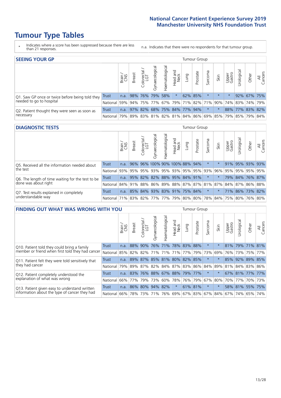# **Tumour Type Tables**

- \* Indicates where a score has been suppressed because there are less than 21 responses.
- n.a. Indicates that there were no respondents for that tumour group.

| <b>SEEING YOUR GP</b><br>Tumour Group                      |            |               |                                                                      |                   |                |                |                                                     |     |          |         |         |                 |                                  |                 |                |
|------------------------------------------------------------|------------|---------------|----------------------------------------------------------------------|-------------------|----------------|----------------|-----------------------------------------------------|-----|----------|---------|---------|-----------------|----------------------------------|-----------------|----------------|
|                                                            |            | Brain.<br>CNS | <b>Breast</b>                                                        | olorectal.<br>LGT | Gynaecological | Haematological | Head and<br>Neck                                    | pun | Prostate | Sarcoma | Skin    | Upper<br>Gastro | $\overline{\sigma}$<br>Jrologica | Other           | All<br>Cancers |
| Q1. Saw GP once or twice before being told they            | Trust      |               | n.a. 98% 76% 79% 58%                                                 |                   |                |                | $\star$                                             |     | 62% 85%  |         | $\star$ |                 |                                  | 92% 67% 75%     |                |
| needed to go to hospital                                   | National I |               | 59%  94%  75%  77%  67%  79%  71%  82%  71%  90%  74%  83%  74%  79% |                   |                |                |                                                     |     |          |         |         |                 |                                  |                 |                |
| Q2. Patient thought they were seen as soon as<br>necessary | Trust      | n.a.          |                                                                      |                   |                |                | 97% 82% 68% 75% 84% 77% 94%                         |     |          | $\star$ | $\star$ |                 |                                  | 88% 77% 83% 82% |                |
|                                                            | National I | 79%           |                                                                      |                   |                |                | 89% 83% 81% 82% 81% 84% 86% 69% 85% 79% 85% 79% 84% |     |          |         |         |                 |                                  |                 |                |

#### **DIAGNOSTIC TESTS** Tumour Group

|                                                   |                                                                  | Brain | <b>Breast</b> | olorectal<br>LGT<br>U | Gynaecological | Haematological | Head and<br>Neck              | Lung | Prostate | Sarcoma | Skin | Upper<br>Gastro | Irological      | Other | All<br>Cancers |
|---------------------------------------------------|------------------------------------------------------------------|-------|---------------|-----------------------|----------------|----------------|-------------------------------|------|----------|---------|------|-----------------|-----------------|-------|----------------|
| Q5. Received all the information needed about     | <b>Trust</b>                                                     | n.a.  |               |                       |                |                | 96% 96% 100% 90% 100% 88% 94% |      |          | $\star$ |      |                 | 91% 95% 93% 93% |       |                |
| the test                                          | National                                                         | 93%   | 95%           | 95%                   |                |                | 93% 95% 93% 95% 95% 93%       |      |          |         | 96%  | 95%             | 95% 95% 95%     |       |                |
| Q6. The length of time waiting for the test to be | Trust                                                            | n.a.  |               | 95% 82%               |                |                | 82% 88% 95% 84% 91%           |      |          |         |      |                 | 79% 84% 76% 87% |       |                |
| done was about right                              | National 84% 91% 88% 86% 89% 88% 87% 87% 81% 87% 84% 87% 86% 88% |       |               |                       |                |                |                               |      |          |         |      |                 |                 |       |                |
| Q7. Test results explained in completely          | <b>Trust</b>                                                     | n.a.  |               |                       |                |                | 85% 84% 93% 83% 91% 75% 84%   |      |          | $\star$ |      |                 | 71% 86% 73% 82% |       |                |
| understandable way                                | National 71% 83% 82% 77% 77% 79% 80% 80% 78% 84% 75% 80% 76% 80% |       |               |                       |                |                |                               |      |          |         |      |                 |                 |       |                |

| <b>FINDING OUT WHAT WAS WRONG WITH YOU</b>                                                     |              |       |               |                       |                |                 |                  |                                 |          | <b>Tumour Group</b> |         |                 |                 |         |                |  |  |  |
|------------------------------------------------------------------------------------------------|--------------|-------|---------------|-----------------------|----------------|-----------------|------------------|---------------------------------|----------|---------------------|---------|-----------------|-----------------|---------|----------------|--|--|--|
|                                                                                                |              | Brain | <b>Breast</b> | olorectal<br>LGT<br>Ū | Gynaecological | Haematological  | Head and<br>Neck | Lung                            | Prostate | Sarcoma             | Skin    | Upper<br>Gastro | Jrological      | Other   | All<br>Cancers |  |  |  |
| Q10. Patient told they could bring a family                                                    | <b>Trust</b> | n.a.  | 88%           | 90%                   |                |                 |                  | 76% 71% 78% 83%                 | 88%      | $\star$             |         |                 | 81% 79% 71% 81% |         |                |  |  |  |
| member or friend when first told they had cancer                                               | National     | 85%   |               | 82% 82%               |                | 71%   71%   71% |                  | 77%                             | 79%      | 73%                 | 69%     |                 | 76% 73%         | 75%     | 77%            |  |  |  |
| Q11. Patient felt they were told sensitively that                                              | Trust        | n.a.  | 89%           | 87%                   |                |                 |                  | 85% 81% 80% 82%                 | 85%      | $\star$             |         | 85%             | 92%             | 89% 85% |                |  |  |  |
| they had cancer                                                                                | National     | 79%   |               |                       |                |                 |                  | 89% 87% 82% 84% 87% 83% 86% 84% |          |                     | 89%     |                 | 81% 84% 83% 86% |         |                |  |  |  |
| Q12. Patient completely understood the                                                         | Trust        | n.a.  | 83%           |                       |                |                 |                  | 76% 88% 67% 88% 79% 77%         |          | $\star$             |         |                 | 67% 81% 77% 77% |         |                |  |  |  |
| explanation of what was wrong                                                                  | National     | 66%   | 77%           | 79%                   | 73%            | 60%             | 78%              |                                 | 76% 79%  | 67%                 | 80%     |                 | 70% 77%         |         | 70% 73%        |  |  |  |
| Q13. Patient given easy to understand written<br>information about the type of cancer they had | Trust        | n.a.  |               | 86% 80%               | 94%            | 82%             | $\star$          | 61% 81%                         |          | $\star$             | $\star$ |                 | 58% 81% 55%     |         | 75%            |  |  |  |
|                                                                                                | National     | 66%   | 78%           | 73%                   |                | 71% 76%         |                  | 69% 67% 83%                     |          | 67%                 | 84%     |                 | 67% 74%         | 65%     | 74%            |  |  |  |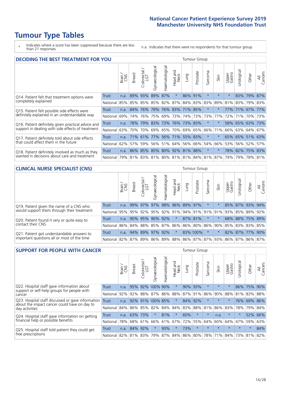# **Tumour Type Tables**

\* Indicates where a score has been suppressed because there are less than 21 responses.

n.a. Indicates that there were no respondents for that tumour group.

| <b>DECIDING THE BEST TREATMENT FOR YOU</b>         |              |       |               |                             |                |                |                        |                     |          | <b>Tumour Group</b> |                                     |                 |                 |             |                |  |
|----------------------------------------------------|--------------|-------|---------------|-----------------------------|----------------|----------------|------------------------|---------------------|----------|---------------------|-------------------------------------|-----------------|-----------------|-------------|----------------|--|
|                                                    |              | Brain | <b>Breast</b> | olorectal<br>LGT<br>Ũ       | Gynaecological | Haematological | ad and<br>Neck<br>Head | Lung                | Prostate | Sarcoma             | Skin                                | Upper<br>Gastro | Jrological      | Other       | All<br>Cancers |  |
| Q14. Patient felt that treatment options were      | <b>Trust</b> | n.a.  |               | 89% 93%                     | 89%            | 87%            | $\star$                | 86%                 | 91%      | $\star$             | $\star$                             | $\star$         |                 | 83% 79%     | 87%            |  |
| completely explained                               | National     | 85%   |               | 85% 85%                     |                | 85% 82%        | 87%                    | 84% 83% 83%         |          |                     | 89%                                 | 81%             |                 | 83% 79% 83% |                |  |
| Q15. Patient felt possible side effects were       | Trust        | n.a.  | 84%           | 76%                         |                |                |                        | 79% 76% 83% 71% 85% |          | $^\star$            |                                     |                 | 77% 71% 67%     |             | 77%            |  |
| definitely explained in an understandable way      | National     | 69%   | 74%           | 76%                         |                | 75% 69%        | 73%                    |                     | 74% 73%  | 73%                 | 77%                                 | 72%             | 71%             | 70% 73%     |                |  |
| Q16. Patient definitely given practical advice and | Trust        | n.a.  | 78%           | 79% 83% 73% 76% 73% 83%     |                |                |                        |                     |          | $\star$             |                                     |                 | 58% 65% 63% 73% |             |                |  |
| support in dealing with side effects of treatment  | National     | 63%   | 70%           | 70%                         |                | 69% 65% 70%    |                        |                     | 69% 65%  | 66%                 | 71%                                 |                 | 66% 63% 64% 67% |             |                |  |
| Q17. Patient definitely told about side effects    | Trust        | n.a.  |               | 71% 61%                     |                |                |                        | 77% 56% 71% 55% 83% |          | $\star$             | $\star$                             |                 | 65% 65% 51% 63% |             |                |  |
| that could affect them in the future               | National     | 62%   | 57%           | 59%                         |                |                |                        | 56% 51% 64% 56% 66% |          | 54%                 | 66%                                 |                 | 53% 56% 52%     |             | 57%            |  |
| Q18. Patient definitely involved as much as they   | Trust        | n.a.  |               | 86% 85% 85% 80% 92% 81% 88% |                |                |                        |                     |          | $\star$             | $\star$                             |                 | 78% 82% 75% 83% |             |                |  |
| wanted in decisions about care and treatment       | National     | 79%   |               |                             |                |                |                        |                     |          |                     | 81% 83% 81% 80% 81% 81% 84% 81% 87% | 79%             |                 | 79% 78% 81% |                |  |

#### **CLINICAL NURSE SPECIALIST (CNS)** Tumour Group

|                                             |          | Brain | <b>Breast</b>   | olorectal<br>LGT<br>$\cup$ | aecologica<br>ĞŘ | $\overline{\sigma}$<br>Ü<br>aematologi | Head and<br>Neck | Lung | Prostate                                    | Sarcoma  | Skin    | Upper<br>Gastro | $\sigma$<br>rologica | Other                                               | All<br>ancers<br>$\cup$ |
|---------------------------------------------|----------|-------|-----------------|----------------------------|------------------|----------------------------------------|------------------|------|---------------------------------------------|----------|---------|-----------------|----------------------|-----------------------------------------------------|-------------------------|
| Q19. Patient given the name of a CNS who    | Trust    | n.a.  |                 | 99% 97%                    | 97%              |                                        | 98% 96% 89% 97%  |      |                                             | $^\star$ |         | 85%             |                      | 87% 93%                                             | 94%                     |
| would support them through their treatment  | National |       |                 |                            |                  |                                        |                  |      |                                             |          |         |                 |                      | 95% 95% 92% 95% 92% 91% 94% 91% 91% 91% 93% 85% 89% | 92%                     |
| Q20. Patient found it very or quite easy to | Trust    | n.a.  |                 | 90% 95%                    | $90\%$           | 92%                                    | $\star$          |      | 87% 81%                                     | $\ast$   | $\star$ |                 |                      | 68% 88% 75% 89%                                     |                         |
| contact their CNS                           | National |       |                 |                            |                  |                                        |                  |      | 86% 84% 88% 85% 87% 86% 86% 80% 86% 90% 85% |          |         |                 |                      | 83% 83%                                             | 85%                     |
| Q21. Patient got understandable answers to  | Trust    | n.a.  |                 |                            | 94% 89% 97%      | 92%                                    | $\star$          |      | 83% 100%                                    | $\ast$   |         |                 |                      | 82% 87% 77%                                         | 90%                     |
| important questions all or most of the time | National |       | 82% 87% 89% 86% |                            |                  |                                        |                  |      |                                             |          |         |                 |                      | 89%   88%   86%   87%   87%   93%   86%   87%   86% | 87%                     |

| <b>SUPPORT FOR PEOPLE WITH CANCER</b>                                                               |                      |       |               |                        |                  |                |                        |      | Tumour Group |         |             |                 |           |         |                |  |  |  |
|-----------------------------------------------------------------------------------------------------|----------------------|-------|---------------|------------------------|------------------|----------------|------------------------|------|--------------|---------|-------------|-----------------|-----------|---------|----------------|--|--|--|
|                                                                                                     |                      | Brain | <b>Breast</b> | olorectal.<br>LGT<br>Ũ | Gynaecological   | Haematological | ad and<br>Neck<br>Head | Lung | Prostate     | Sarcoma | Skin        | Upper<br>Gastro | Jrologica | Other   | All<br>Cancers |  |  |  |
| Q22. Hospital staff gave information about<br>support or self-help groups for people with<br>cancer | <b>Trust</b>         | n.a.  | 95%           |                        | 92% 100% 90%     |                | $\star$                | 90%  | 93%          | $\star$ | $\star$     | $\star$         | 86%       | 75%     | 90%            |  |  |  |
|                                                                                                     | National             | 92%   | 92%           |                        | 88% 87% 86%      |                | 88%                    |      | 87% 91%      | 86%     | 90%         | 88%             | 81%       | 83%     | 88%            |  |  |  |
| Q23. Hospital staff discussed or gave information<br>about the impact cancer could have on day to   | Trust                | n.a.  |               |                        | 92% 91% 100% 85% |                | $\star$                | 84%  | 92%          | $\star$ | $\star$     | $\star$         |           | 76% 69% | 86%            |  |  |  |
| day activities                                                                                      | National             | 84%   |               |                        | 86% 85% 82%      | 84%            | 84%                    |      | 83% 88%      | 81%     | 86%         | 83%             | 78%       | 79%     | 84%            |  |  |  |
| Q24. Hospital staff gave information on getting                                                     | Trust                | n.a.  |               | 63% 73%                | $\star$          | 81%            | $\star$                | 60%  | $\star$      | $\star$ | n.a.        | $\star$         | $\star$   | 52%     | 66%            |  |  |  |
| financial help or possible benefits                                                                 | National             | 78%   |               | 68% 61%                | 66%              |                | 61% 67%                | 72%  | 55%          | 64%     | 60%         | 64%             | 47%       | 59%     | 63%            |  |  |  |
| Q25. Hospital staff told patient they could get                                                     | Trust                | n.a.  | 84%           | 92%                    | $\star$          | 93%            | $\ast$                 | 73%  | $\star$      | $\star$ | $\star$     | $\star$         | $\star$   | $\ast$  | 84%            |  |  |  |
| free prescriptions                                                                                  | National 82% 81% 83% |       |               |                        | 79%              |                | 87% 84% 86% 80%        |      |              |         | 78% 71% 84% |                 |           | 73% 81% | 82%            |  |  |  |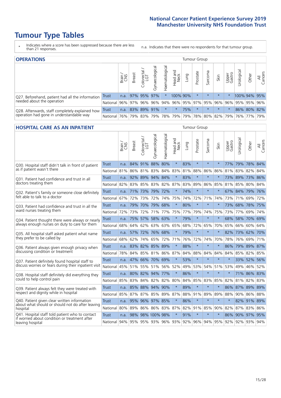# **Tumour Type Tables**

- \* Indicates where a score has been suppressed because there are less than 21 responses.
- n.a. Indicates that there were no respondents for that tumour group.

| <b>OPERATIONS</b>                                                                           |              |        |               |                        |                                     |                |                                 |      | Tumour Group |         |                             |                 |            |              |                |  |  |  |
|---------------------------------------------------------------------------------------------|--------------|--------|---------------|------------------------|-------------------------------------|----------------|---------------------------------|------|--------------|---------|-----------------------------|-----------------|------------|--------------|----------------|--|--|--|
|                                                                                             |              | Brain  | <b>Breast</b> | iolorectal<br>LGT<br>Ü | $\overline{\sigma}$<br>Gynaecologic | Haematological | Head and<br>Neck                | Lung | Prostate     | Sarcoma | Skin                        | Upper<br>Gastro | Jrological | Other        | All<br>Cancers |  |  |  |
| Q27. Beforehand, patient had all the information                                            | <b>Trust</b> | n.a.   |               | 97% 95%                | 97%                                 | $\star$        | 100% 90%                        |      | $\star$      | $\star$ | $\star$                     | $\star$         |            | 100% 94% 95% |                |  |  |  |
| needed about the operation                                                                  | National     | $96\%$ | 97% 96%       |                        |                                     |                | 96% 94% 96% 95% 97% 95% 96% 96% |      |              |         |                             |                 |            | 95% 95% 96%  |                |  |  |  |
| Q28. Afterwards, staff completely explained how<br>operation had gone in understandable way | <b>Trust</b> | n.a.   | 83% 89% 91%   |                        |                                     | *              | $\ast$                          | 75%  | $\star$      | $\star$ | $\star$                     | $\star$         |            | 86% 80% 82%  |                |  |  |  |
|                                                                                             | National     | 76%    |               | 79% 83%                |                                     |                | 79%   78%   79%                 |      |              |         | 79%   78%   80%   82%   79% |                 |            | 76% 77%      | 79%            |  |  |  |

#### **HOSPITAL CARE AS AN INPATIENT** Tumour Group

|                                                                                                   |              | Brain | Breast | $\overline{\phantom{0}}$<br>Colorectal /<br>LGT | Gynaecological  | Haematological | Head and<br>Neck | Lung | Prostate | Sarcoma | Skin    | Upper<br>Gastro | Urological                  | Other       | All<br>Cancers |
|---------------------------------------------------------------------------------------------------|--------------|-------|--------|-------------------------------------------------|-----------------|----------------|------------------|------|----------|---------|---------|-----------------|-----------------------------|-------------|----------------|
| Q30. Hospital staff didn't talk in front of patient                                               | <b>Trust</b> | n.a.  |        | 84% 91% 88%                                     |                 | 80%            | $\star$          | 83%  | $\star$  | $\star$ | $\star$ | 77%             | 79%                         | 78% 84%     |                |
| as if patient wasn't there                                                                        | National     | 81%   | 86%    | 81%                                             | 83%             | 84%            | 83%              | 81%  | 88%      | 86%     | 86%     | 81%             | 83%                         | 82%         | 84%            |
| Q31. Patient had confidence and trust in all                                                      | <b>Trust</b> | n.a.  | 92%    | 89%                                             | 94% 84%         |                | $\star$          | 83%  | $\star$  | $\star$ | $\star$ |                 | 73% 89%                     | 73% 86%     |                |
| doctors treating them                                                                             | National     | 82%   |        | 83% 85%                                         |                 | 83% 82%        | 87%              | 83%  | 89%      | 86%     | 85%     |                 | 81% 85%                     | 80% 84%     |                |
| Q32. Patient's family or someone close definitely                                                 | <b>Trust</b> | n.a.  |        | 71% 73%                                         | 79%             | 72%            | $\star$          | 74%  | $\star$  | $\star$ | $\star$ |                 | 67% 84%                     | 79%         | 76%            |
| felt able to talk to a doctor                                                                     | National     | 67%   | 72%    | 73%                                             | 72%             | 74%            | 75%              | 74%  | 72%      | 71%     | 74%     |                 | 73% 71%                     | 69%         | 72%            |
| Q33. Patient had confidence and trust in all the                                                  | <b>Trust</b> | n.a.  |        |                                                 | 79% 70% 79% 68% |                | $\star$          | 80%  | $\star$  | $\star$ | $\star$ |                 | 73% 68% 78% 75%             |             |                |
| ward nurses treating them                                                                         | National     | 72%   | 73%    | 72%                                             |                 | 71% 77%        | 75%              | 77%  | 79%      | 74%     | 75%     |                 | 73% 77%                     | 69%         | 74%            |
| Q34. Patient thought there were always or nearly<br>always enough nurses on duty to care for them | <b>Trust</b> | n.a.  | 75%    | 57%                                             | 58%             | 63%            | $\star$          | 79%  | $\star$  | $\star$ | $\star$ | 68%             | 58%                         | 70%         | 69%            |
|                                                                                                   | National     | 68%   | 64%    | 62%                                             | 63%             | 63%            | 65%              | 68%  | 72%      | 65%     | 70%     | 65%             | 66%                         | 60%         | 64%            |
| Q35. All hospital staff asked patient what name                                                   | Trust        | n.a.  | 57%    |                                                 | 72% 76% 68%     |                | $\star$          | 79%  | $\star$  | $\star$ | $\star$ |                 | 82% 73% 62% 70%             |             |                |
| they prefer to be called by                                                                       | National     | 68%   | 62%    | 74%                                             |                 | 65% 72%        | 71%              | 76%  | 72%      | 74%     | 70%     | 78%             | 76%                         | 69%         | 71%            |
| Q36. Patient always given enough privacy when                                                     | Trust        | n.a.  |        | 83% 82% 85%                                     |                 | 89%            | $\star$          | 88%  | $\star$  | $\star$ | $\star$ | 86%             |                             | 79% 89% 87% |                |
| discussing condition or treatment                                                                 | National     | 78%   |        |                                                 | 84% 85% 81% 86% |                | 87%              | 84%  | 88%      | 84%     | 84%     | 84%             | 85%                         | 82% 85%     |                |
| Q37. Patient definitely found hospital staff to                                                   | <b>Trust</b> | n.a.  | 47%    |                                                 | 66% 70% 69%     |                | $\star$          | 53%  | $\star$  | $\star$ | $\star$ | $\star$         |                             | 33% 52%     | 56%            |
| discuss worries or fears during their inpatient visit                                             | National     | 45%   |        |                                                 | 51% 55% 51% 56% |                | 52%              | 49%  | 53%      | 54%     | 51% 53% |                 | 49%                         | 46% 52%     |                |
| Q38. Hospital staff definitely did everything they                                                | Trust        | n.a.  |        |                                                 | 80% 82% 94% 77% |                | $\star$          | 86%  | $\star$  | $\star$ | $\star$ | $\star$         |                             | 71% 86% 83% |                |
| could to help control pain                                                                        | National     | 85%   | 83%    | 84%                                             |                 | 82% 82%        | 80%              | 84%  | 85%      | 83%     | 85%     | 82%             | 81%                         | 82% 83%     |                |
| Q39. Patient always felt they were treated with                                                   | Trust        | n.a.  | 85%    |                                                 | 88% 94% 90%     |                | $\star$          | 89%  | $\star$  | $\star$ | $\star$ |                 | 86% 87% 89% 89%             |             |                |
| respect and dignity while in hospital                                                             | National     | 85%   | 87%    | 87%                                             |                 | 85% 89%        | 87%              | 88%  | 91%      | 89%     | 89%     | 88%             | 90%                         | 86% 88%     |                |
| Q40. Patient given clear written information<br>about what should or should not do after leaving  | <b>Trust</b> | n.a.  | 95%    |                                                 | 96% 97% 85%     |                | $\star$          | 86%  | $\star$  | $\star$ | $\star$ | $\star$         |                             | 82% 91%     | 89%            |
| hospital                                                                                          | National     | 80%   | 89%    |                                                 | 86% 86% 83%     |                | 87%              | 82%  | 91%      | 85%     | 90%     | 82%             | 87%                         | 83% 86%     |                |
| Q41. Hospital staff told patient who to contact<br>if worried about condition or treatment after  | <b>Trust</b> | n.a.  | 98%    |                                                 | 98% 100% 98%    |                | $\star$          | 91%  | $\star$  | $\star$ | $\star$ |                 | 86% 90% 97%                 |             | 95%            |
| leaving hospital                                                                                  | National     | 94%   |        |                                                 | 95% 95% 93% 96% |                |                  |      |          |         |         |                 | 93% 92% 96% 94% 95% 92% 92% | 93% 94%     |                |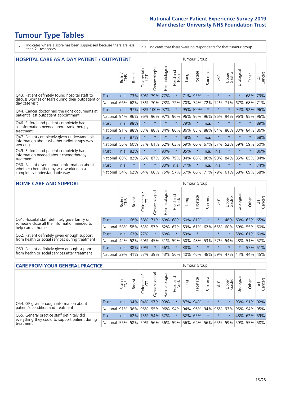# **Tumour Type Tables**

- \* Indicates where a score has been suppressed because there are less than 21 responses.
- n.a. Indicates that there were no respondents for that tumour group.

| <b>HOSPITAL CARE AS A DAY PATIENT / OUTPATIENT</b>                                                                    |              |       |               |                            |                |                |                         |         | <b>Tumour Group</b> |         |         |                 |            |         |                |  |  |  |  |  |  |
|-----------------------------------------------------------------------------------------------------------------------|--------------|-------|---------------|----------------------------|----------------|----------------|-------------------------|---------|---------------------|---------|---------|-----------------|------------|---------|----------------|--|--|--|--|--|--|
|                                                                                                                       |              | Brain | <b>Breast</b> | ╮<br>olorectal<br>LGT<br>Ũ | Gynaecological | Haematological | ead and<br>Neck<br>Head | Lung    | Prostate            | Sarcoma | Skin    | Upper<br>Gastro | Urological | Other   | All<br>Cancers |  |  |  |  |  |  |
| Q43. Patient definitely found hospital staff to                                                                       | <b>Trust</b> | n.a.  | 73%           | 69%                        | 79%            | 77%            | $\star$                 | 71%     | 95%                 | $\star$ | $\star$ | $\star$         | $\star$    | 68%     | 73%            |  |  |  |  |  |  |
| discuss worries or fears during their outpatient or<br>day case visit                                                 | National     | 66%   | 68%           | 73%                        | 70%            | 73%            | 72%                     | 70%     | 74%                 | 72%     | 72%     | 71%             | 67%        | 68%     | 71%            |  |  |  |  |  |  |
| Q44. Cancer doctor had the right documents at<br>patient's last outpatient appointment                                | Trust        | n.a.  | 97%           |                            | 98% 100% 97%   |                | $\star$                 |         | 95% 100%            | $\ast$  |         | $\star$         | 94%        | 92%     | 96%            |  |  |  |  |  |  |
|                                                                                                                       | National     | 94%   | 96%           | 96%                        | 96%            | 97%            | 96%                     | 96%     | 96%                 | 96%     | 96%     | 94%             | 96%        | 95%     | 96%            |  |  |  |  |  |  |
| Q46. Beforehand patient completely had                                                                                | Trust        | n.a.  | 98%           | $\star$                    |                |                | $\star$                 | 79%     | $\star$             | n.a.    |         | $\star$         | $\star$    | $\star$ | 89%            |  |  |  |  |  |  |
| all information needed about radiotherapy<br>treatment                                                                | National     | 91%   | 88%           | 83%                        | 88%            | 84%            | 86%                     | 86%     | 88%                 | 88%     | 84%     | 86%             | 83%        | 84%     | 86%            |  |  |  |  |  |  |
| Q47. Patient completely given understandable                                                                          | Trust        | n.a.  | 87%           | $\star$                    | $\star$        |                | $\star$                 | 48%     | $\star$             | n.a.    | $\star$ | $\star$         | $\star$    | $\star$ | 68%            |  |  |  |  |  |  |
| information about whether radiotherapy was<br>working                                                                 | National     | 56%   | 60%           | 57%                        | 61%            | 62%            | 63%                     | 59%     | 60%                 | 67%     | 57%     | 52%             | 59%        | 59%     | 60%            |  |  |  |  |  |  |
| Q49. Beforehand patient completely had all                                                                            | Trust        | n.a.  | 82%           | $\star$                    | $\star$        | 90%            | $\star$                 | 85%     | $\star$             | n.a.    | n.a.    | $\star$         | $^\star$   | $\ast$  | 86%            |  |  |  |  |  |  |
| information needed about chemotherapy<br>treatment                                                                    | National     | 80%   | 82%           | 86%                        | 87%            | 85%            | 79%                     | 84%     | 86%                 | 86%     | 90%     | 84%             | 85%        | 85%     | 84%            |  |  |  |  |  |  |
| Q50. Patient given enough information about<br>whether chemotherapy was working in a<br>completely understandable way | Trust        | n.a.  | $\star$       |                            |                | 80%            | n.a.                    | 71%     | $\star$             | n.a.    | n.a.    | $\star$         |            | $\star$ | 74%            |  |  |  |  |  |  |
|                                                                                                                       | National     | 54%   | 62%           | 64%                        | 68%            | 75%            |                         | 57% 67% | 66%                 | 71%     | 79%     | 61%             | 68%        | 69%     | 68%            |  |  |  |  |  |  |

#### **HOME CARE AND SUPPORT** Tumour Group

|                                                                                                                   |              | Brain | <b>Breast</b> | Colorectal<br>LGT | ᢛ<br>Gynaecologic | Haematological | ad and<br>Neck<br>Head  | Lung | Prostate | Sarcoma         | Skin    | Upper<br>Gastro | Urological | Other       | All<br>Cancers |
|-------------------------------------------------------------------------------------------------------------------|--------------|-------|---------------|-------------------|-------------------|----------------|-------------------------|------|----------|-----------------|---------|-----------------|------------|-------------|----------------|
| Q51. Hospital staff definitely gave family or<br>someone close all the information needed to<br>help care at home | <b>Trust</b> | n.a.  |               | 68% 58%           |                   |                | 71% 69% 68% 60% 81%     |      |          | $\ast$          |         | 48%             |            | 63% 62% 65% |                |
|                                                                                                                   | National     | 58%   |               | 58% 63%           | 57%               |                | $ 62\% 67\% 59\% 61\% $ |      |          |                 | 62% 65% | 60%             |            | 59% 55%     | 60%            |
| Q52. Patient definitely given enough support<br>from health or social services during treatment                   | Trust        | n.a.  |               | 63% 77%           | $\star$           | 60%            | $\star$                 | 53%  | $\star$  |                 | $\star$ | $\star$         |            | 58% 61% 60% |                |
|                                                                                                                   | National     | 42%   | 52%           | 60%               |                   | 45% 51%        | 59%                     |      |          | 50% 48% 53% 57% |         | 54%             |            | 48% 51%     | 52%            |
| Q53. Patient definitely given enough support<br>from health or social services after treatment                    | Trust        | n.a.  | 38%           | 79%               |                   | 56%            | $\star$                 | 38%  | $\star$  | $\star$         | $\star$ | $\star$         | $\star$    | 57%         | 51%            |
|                                                                                                                   | National     | 39%   |               | 41% 53%           | 39%               | $ 43\% $       | 56%                     | 40%  | 46%      |                 | 48% 59% | 47%             | 44%        | 44%         | 45%            |

| <b>CARE FROM YOUR GENERAL PRACTICE</b>                                                                     |                      |        |               |                        |               |                                     |                  |      |          | Tumour Group |         |                 |                                                                 |             |                |  |  |  |  |
|------------------------------------------------------------------------------------------------------------|----------------------|--------|---------------|------------------------|---------------|-------------------------------------|------------------|------|----------|--------------|---------|-----------------|-----------------------------------------------------------------|-------------|----------------|--|--|--|--|
|                                                                                                            |                      | Brain, | <b>Breast</b> | ー<br>Colorectal<br>LGT | Gynaecologica | $\overline{\sigma}$<br>Haematologic | Head and<br>Neck | Lung | Prostate | Sarcoma      | Skin    | Upper<br>Gastro | Urological                                                      | Other       | All<br>Cancers |  |  |  |  |
| Q54. GP given enough information about                                                                     | Trust                | n.a.   |               | 94% 94%                |               | 97% 93%                             | $\star$          |      | 87% 94%  |              | $\star$ | $\star$         |                                                                 | 93% 91% 92% |                |  |  |  |  |
| patient's condition and treatment                                                                          | National 91% 96% 95% |        |               |                        |               | 95% 96% 94% 94% 96% 94% 96%         |                  |      |          |              |         |                 | 93% 95% 94% 95%                                                 |             |                |  |  |  |  |
| Q55. General practice staff definitely did<br>everything they could to support patient during<br>treatment | Trust                | n.a.   |               | 62% 73%                |               | 54% 57%                             | $\star$          |      | 52% 65%  |              | $\star$ | $\star$         |                                                                 | 48% 62% 59% |                |  |  |  |  |
|                                                                                                            | National 55% 58% 59% |        |               |                        |               |                                     |                  |      |          |              |         |                 | 56%   56%   59%   56%   64%   56%   65%   59%   59%   55%   58% |             |                |  |  |  |  |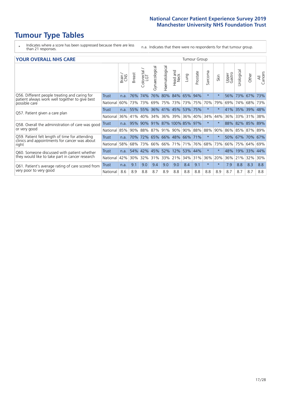# **Tumour Type Tables**

- \* Indicates where a score has been suppressed because there are less than 21 responses.
- n.a. Indicates that there were no respondents for that tumour group.

#### **YOUR OVERALL NHS CARE** THE TWO CONTROLLER THE THE THROUP CHANGE THE TUMOUR GROUP

|                                                                             |              | Brain<br>CNS | Breast | Colorectal | Gynaecological | Haematological | Head and<br>Neck            | Lung    | Prostate | Sarcoma | Skin    | Upper<br>Gastro | Urologica | Other       | All<br>Cancers |
|-----------------------------------------------------------------------------|--------------|--------------|--------|------------|----------------|----------------|-----------------------------|---------|----------|---------|---------|-----------------|-----------|-------------|----------------|
| Q56. Different people treating and caring for                               | <b>Trust</b> | n.a.         | 76%    | 74%        | 76%            | 80%            | 84%                         | 65%     | 94%      | $\star$ | $\star$ | 56%             | 73%       | 67%         | 73%            |
| patient always work well together to give best<br>possible care             | National     | 60%          |        | 73% 73%    | 69%            | 75%            | 73%                         |         | 73% 75%  | 70%     | 79%     | 69%             | 74%       | 68%         | 73%            |
| Q57. Patient given a care plan                                              | <b>Trust</b> | n.a.         |        | 55% 55%    |                |                | 36% 41% 45%                 | 53% 75% |          | $\star$ | $\ast$  | 41% 35%         |           | 39% 48%     |                |
|                                                                             | National     | 36%          | 41%    | 40%        | 34%            | $36\%$         | 39%                         | 36%     | 40%      | 34%     | 44%     | 36%             | 33%       | 31%         | 38%            |
| Q58. Overall the administration of care was good                            | Trust        | n.a.         | 95%    | 90%        |                |                | 91% 87% 100% 85% 97%        |         |          | $\star$ | $\star$ | 88%             | 82%       | 85% 89%     |                |
| or very good                                                                | National     | 85%          |        | 90% 88%    |                |                | 87% 91% 90%                 |         | 90% 88%  | 88%     | 90%     | 86%             |           | 85% 87% 89% |                |
| Q59. Patient felt length of time for attending                              | Trust        | n.a.         |        |            |                |                | 70% 72% 65% 66% 48% 66% 71% |         |          | $\star$ | $\ast$  | 50% 67%         |           | 70% 67%     |                |
| clinics and appointments for cancer was about<br>right                      | National     | 58%          | 68%    | 73%        | 66%            | 66%            | 71%                         | 71%     | 76%      | 68%     | 73%     | 66%             | 75%       | 64%         | 69%            |
| Q60. Someone discussed with patient whether                                 | Trust        | n.a.         | 54%    | 42%        | 45%            | 52%            | 12%                         | 53%     | 44%      | $\star$ | $\star$ | 48%             | 19%       | 33%         | 44%            |
| they would like to take part in cancer research                             | National     | 42%          | $30\%$ | 32%        | 31%            | 33%            | 21%                         | 34%     | 31%      | 36%     | 20%     | 36%             | 21%       | 32%         | 30%            |
| Q61. Patient's average rating of care scored from<br>very poor to very good | Trust        | n.a.         | 9.1    | 9.0        | 9.4            | 9.0            | 9.0                         | 8.4     | 9.1      | $\star$ | $\star$ | 7.9             | 8.8       | 8.3         | 8.8            |
|                                                                             | National     | 8.6          | 8.9    | 8.8        | 8.7            | 8.9            | 8.8                         | 8.8     | 8.8      | 8.8     | 8.9     | 8.7             | 8.7       | 8.7         | 8.8            |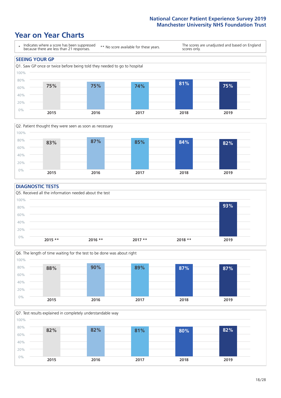### **Year on Year Charts**





#### **DIAGNOSTIC TESTS**





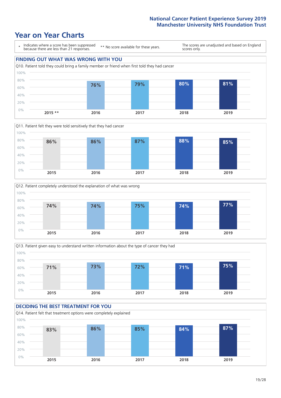## **Year on Year Charts**









#### **DECIDING THE BEST TREATMENT FOR YOU** Q14. Patient felt that treatment options were completely explained 0% 20% 40% 60% 80% 100% **2015 2016 2017 2018 2019 83% 86% 85% 84% 87%**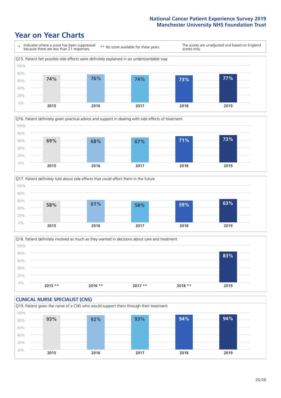### **Year on Year Charts**









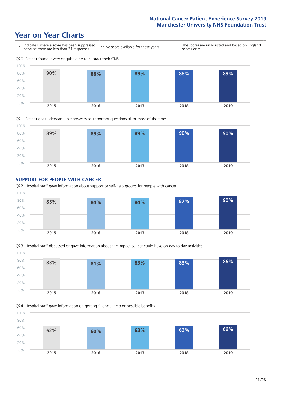### **Year on Year Charts**









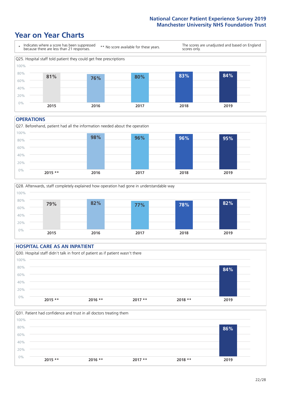### **Year on Year Charts**



#### **OPERATIONS**





#### **HOSPITAL CARE AS AN INPATIENT** Q30. Hospital staff didn't talk in front of patient as if patient wasn't there 0% 20% 40% 60% 80% 100% **2015 \*\* 2016 \*\* 2017 \*\* 2018 \*\* 2019 84%**

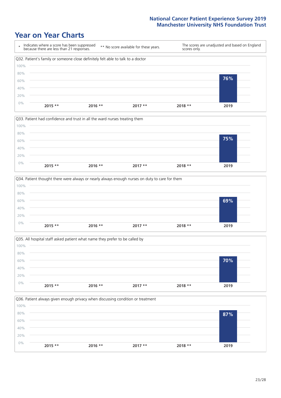### **Year on Year Charts**









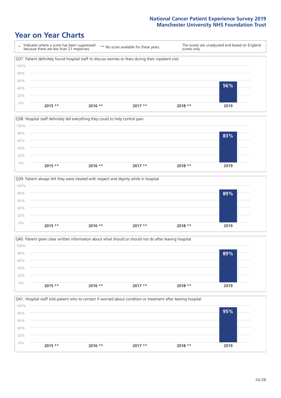### **Year on Year Charts**









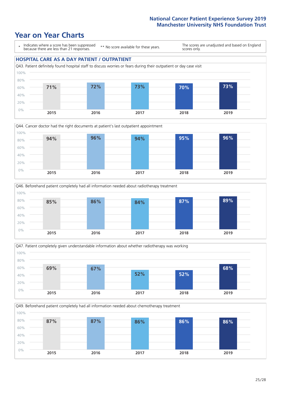### **Year on Year Charts**

\* Indicates where a score has been suppressed because there are less than 21 responses. \*\* No score available for these years.

The scores are unadjusted and based on England scores only.

#### **HOSPITAL CARE AS A DAY PATIENT / OUTPATIENT**









Q49. Beforehand patient completely had all information needed about chemotherapy treatment 100%

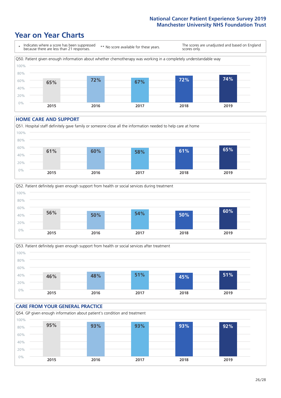## **Year on Year Charts**



#### **HOME CARE AND SUPPORT**







#### **CARE FROM YOUR GENERAL PRACTICE** Q54. GP given enough information about patient's condition and treatment 0% 20% 40% 60% 80% 100% **2015 2016 2017 2018 2019 95% 93% 93% 93% 92%**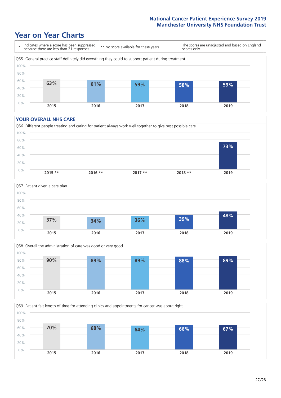### **Year on Year Charts**



#### **YOUR OVERALL NHS CARE**







Q59. Patient felt length of time for attending clinics and appointments for cancer was about right 0% 20% 40% 60% 80% 100% **2015 2016 2017 2018 2019 70% 68% 64% 66% 67%**